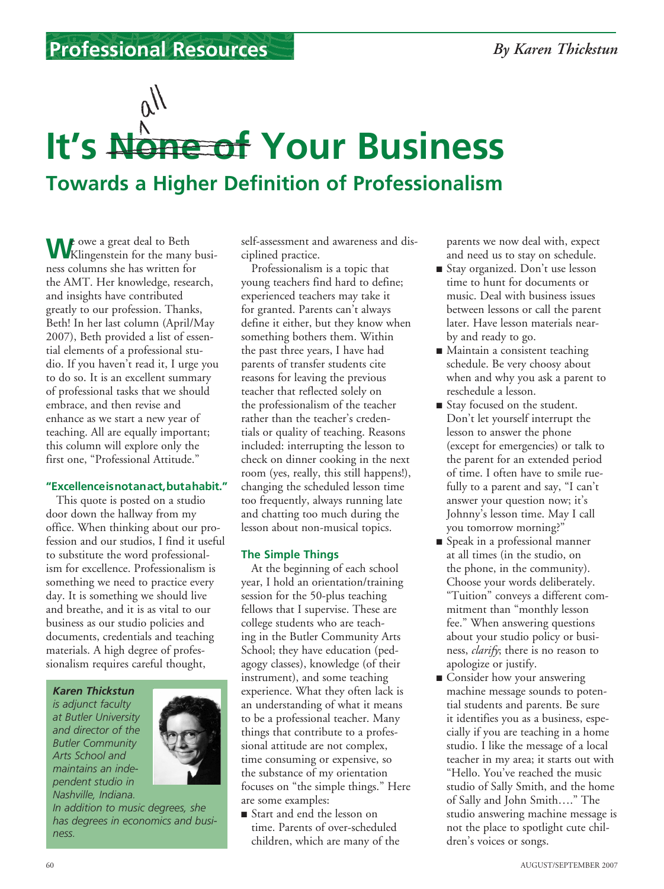### **Professional Resources** *By Karen Thickstun*

## $\mu$ **It's None of Your Business Towards a Higher Definition of Professionalism**

We owe a great deal to Beth<br>
Willingenstein for the many business columns she has written for the AMT. Her knowledge, research, and insights have contributed greatly to our profession. Thanks, Beth! In her last column (April/May 2007), Beth provided a list of essential elements of a professional studio. If you haven't read it, I urge you to do so. It is an excellent summary of professional tasks that we should embrace, and then revise and enhance as we start a new year of teaching. All are equally important; this column will explore only the first one, "Professional Attitude."

#### **"Excellence is not an act, but a habit."**

This quote is posted on a studio door down the hallway from my office. When thinking about our profession and our studios, I find it useful to substitute the word professionalism for excellence. Professionalism is something we need to practice every day. It is something we should live and breathe, and it is as vital to our business as our studio policies and documents, credentials and teaching materials. A high degree of professionalism requires careful thought,

*Karen Thickstun*

*is adjunct faculty at Butler University and director of the Butler Community Arts School and maintains an independent studio in Nashville, Indiana.* 



*In addition to music degrees, she has degrees in economics and business.*

self-assessment and awareness and disciplined practice.

Professionalism is a topic that young teachers find hard to define; experienced teachers may take it for granted. Parents can't always define it either, but they know when something bothers them. Within the past three years, I have had parents of transfer students cite reasons for leaving the previous teacher that reflected solely on the professionalism of the teacher rather than the teacher's credentials or quality of teaching. Reasons included: interrupting the lesson to check on dinner cooking in the next room (yes, really, this still happens!), changing the scheduled lesson time too frequently, always running late and chatting too much during the lesson about non-musical topics.

#### **The Simple Things**

At the beginning of each school year, I hold an orientation/training session for the 50-plus teaching fellows that I supervise. These are college students who are teaching in the Butler Community Arts School; they have education (pedagogy classes), knowledge (of their instrument), and some teaching experience. What they often lack is an understanding of what it means to be a professional teacher. Many things that contribute to a professional attitude are not complex, time consuming or expensive, so the substance of my orientation focuses on "the simple things." Here are some examples:

<sup>n</sup> Start and end the lesson on time. Parents of over-scheduled children, which are many of the parents we now deal with, expect and need us to stay on schedule.

- Stay organized. Don't use lesson time to hunt for documents or music. Deal with business issues between lessons or call the parent later. Have lesson materials nearby and ready to go.
- Maintain a consistent teaching schedule. Be very choosy about when and why you ask a parent to reschedule a lesson.
- Stay focused on the student. Don't let yourself interrupt the lesson to answer the phone (except for emergencies) or talk to the parent for an extended period of time. I often have to smile ruefully to a parent and say, "I can't answer your question now; it's Johnny's lesson time. May I call you tomorrow morning?"
- Speak in a professional manner at all times (in the studio, on the phone, in the community). Choose your words deliberately. "Tuition" conveys a different commitment than "monthly lesson fee." When answering questions about your studio policy or business, *clarify*; there is no reason to apologize or justify.
- Consider how your answering machine message sounds to potential students and parents. Be sure it identifies you as a business, especially if you are teaching in a home studio. I like the message of a local teacher in my area; it starts out with "Hello. You've reached the music studio of Sally Smith, and the home of Sally and John Smith…." The studio answering machine message is not the place to spotlight cute children's voices or songs.